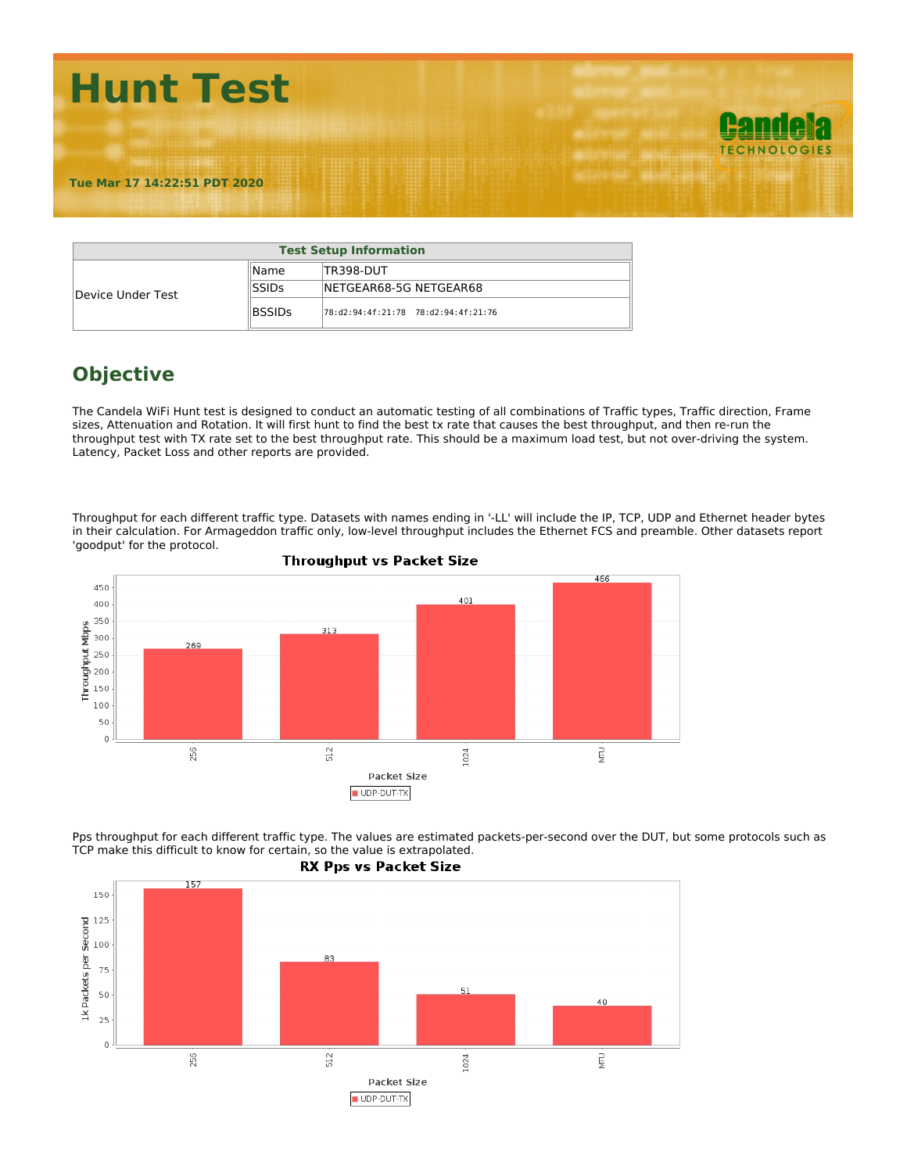

|                   |               | <b>Test Setup Information</b>               |
|-------------------|---------------|---------------------------------------------|
|                   | lName.        | TR398-DUT                                   |
| Device Under Test | <b>SSIDs</b>  | INETGEAR68-5G NETGEAR68                     |
|                   | <b>BSSIDs</b> | $ 78: d2: 94: 4f: 21: 78$ 78:d2:94:4f:21:76 |

## **Objective**

The Candela WiFi Hunt test is designed to conduct an automatic testing of all combinations of Traffic types, Traffic direction, Frame sizes, Attenuation and Rotation. It will first hunt to find the best tx rate that causes the best throughput, and then re-run the throughput test with TX rate set to the best throughput rate. This should be a maximum load test, but not over-driving the system. Latency, Packet Loss and other reports are provided.

Throughput for each different traffic type. Datasets with names ending in '-LL' will include the IP, TCP, UDP and Ethernet header bytes in their calculation. For Armageddon traffic only, low-level throughput includes the Ethernet FCS and preamble. Other datasets report 'goodput' for the protocol.





Pps throughput for each different traffic type. The values are estimated packets-per-second over the DUT, but some protocols such as TCP make this difficult to know for certain, so the value is extrapolated.

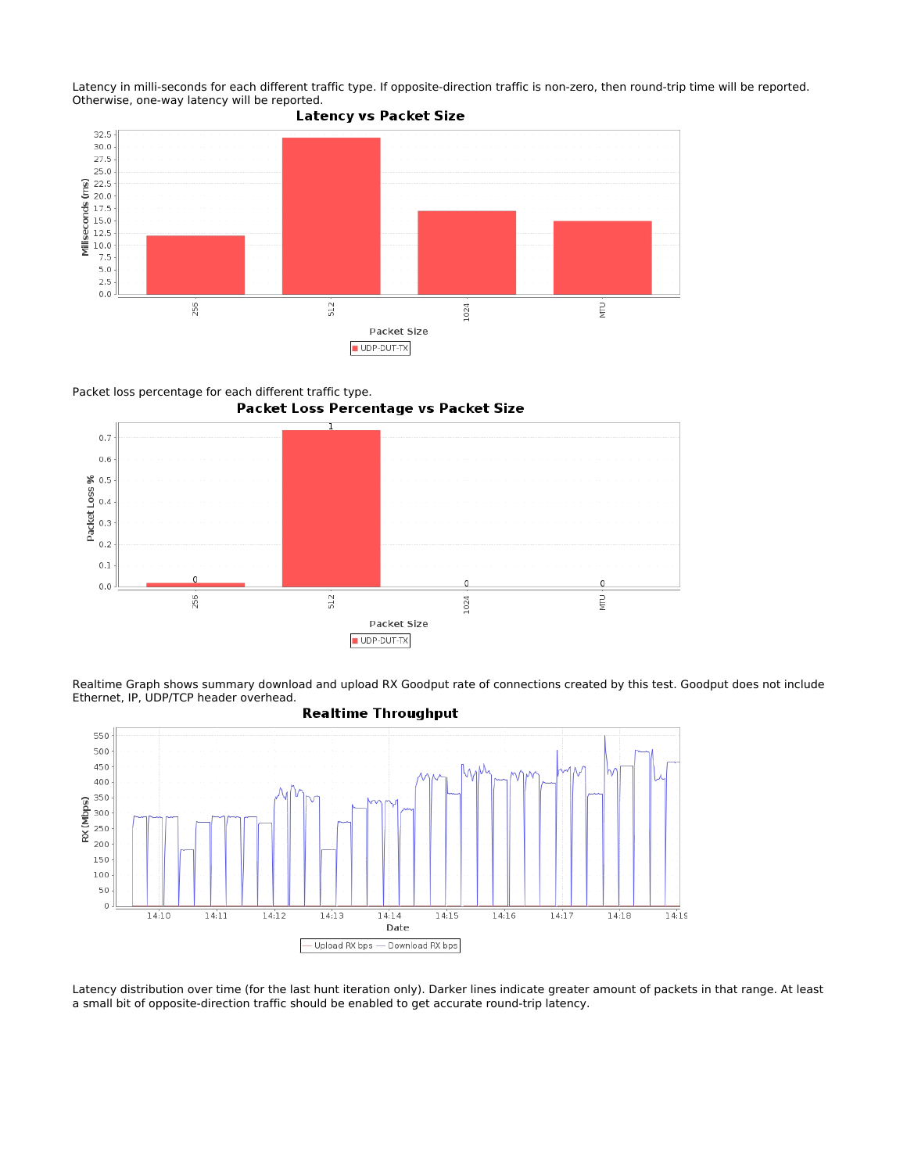Latency in milli-seconds for each different traffic type. If opposite-direction traffic is non-zero, then round-trip time will be reported. Otherwise, one-way latency will be reported.<br>Latency vs Packet Size





 $512\,$ 

Packet loss percentage for each different traffic type.

 $0.2$  $0.1\,$ 

 $0.0$ 

256



 $\overline{0}$ 

1024

 $\mathbf 0$ 

È



Packet Size UDP-DUT-TX

Latency distribution over time (for the last hunt iteration only). Darker lines indicate greater amount of packets in that range. At least a small bit of opposite-direction traffic should be enabled to get accurate round-trip latency.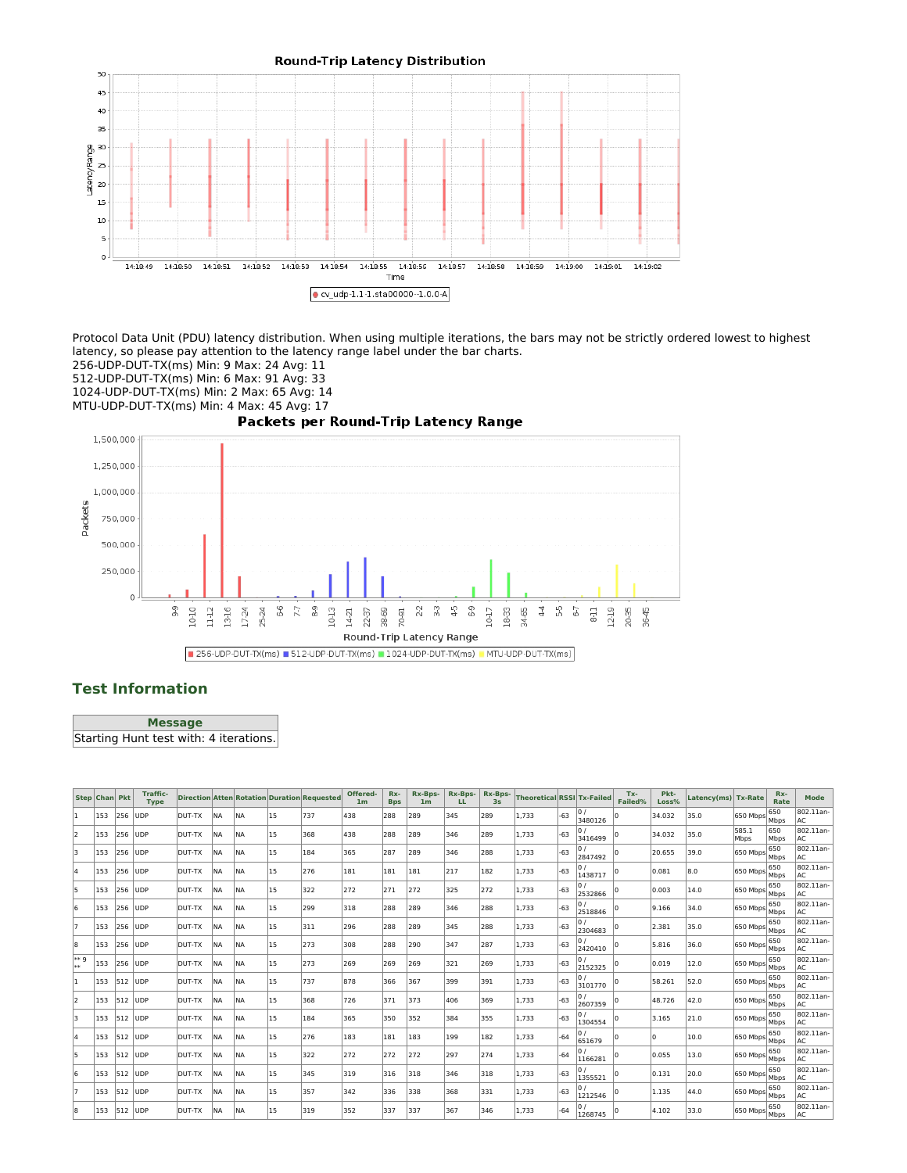

Protocol Data Unit (PDU) latency distribution. When using multiple iterations, the bars may not be strictly ordered lowest to highest latency, so please pay attention to the latency range label under the bar charts.

256-UDP-DUT-TX(ms) Min: 9 Max: 24 Avg: 11

512-UDP-DUT-TX(ms) Min: 6 Max: 91 Avg: 33

1024-UDP-DUT-TX(ms) Min: 2 Max: 65 Avg: 14

MTU-UDP-DUT-TX(ms) Min: 4 Max: 45 Avg: 17



## **Test Information**

**Message** Starting Hunt test with: 4 iterations.

|      | <b>Step Chan Pkt</b> |          | <b>Traffic-</b><br><b>Type</b> |        |           |            |    | Direction Atten Rotation Duration Requested | Offered-<br>1 <sub>m</sub> | Rx-<br><b>Bps</b> | Rx-Bps-<br>1 <sub>m</sub> | Rx-Bps-<br>LL. | Rx-Bps-<br>3s | Theoretical RSSI Tx-Failed |       |               | Tx-<br>Failed% | Pkt-<br>Loss% | Latency(ms) Tx-Rate |                                   | Rx-<br>Rate | Mode            |
|------|----------------------|----------|--------------------------------|--------|-----------|------------|----|---------------------------------------------|----------------------------|-------------------|---------------------------|----------------|---------------|----------------------------|-------|---------------|----------------|---------------|---------------------|-----------------------------------|-------------|-----------------|
|      | 153                  | 256      | <b>UDP</b>                     | DUT-TX | NA        | <b>INA</b> | 15 | 737                                         | 438                        | 288               | 289                       | 345            | 289           | 1,733                      | $-63$ | 3480126       |                | 34.032        | 35.0                | 650 Mbps                          | 650<br>Mbps | 802.11an-<br>AC |
| l2   | 153                  | 256      | <b>UDP</b>                     | DUT-TX | <b>NA</b> | <b>INA</b> | 15 | 368                                         | 438                        | 288               | 289                       | 346            | 289           | 1,733                      | $-63$ | 3416499       |                | 34.032        | 35.0                | 585.1<br>Mbps                     | 650<br>Mbps | 802.11an-<br>AC |
| lз   | 153                  | 256 lUDP |                                | DUT-TX | IN A      | <b>INA</b> | 15 | 184                                         | 365                        | 287               | 289                       | 346            | 288           | 1.733                      | $-63$ | 0/<br>2847492 |                | 20.655        | 39.0                | 650 Mbps                          | 650<br>Mbps | 802.11an-<br>AC |
| 4    | 153                  | 256 UDP  |                                | DUT-TX | <b>NA</b> | <b>INA</b> | 15 | 276                                         | 181                        | 181               | 181                       | 217            | 182           | 1.733                      | $-63$ | 0/<br>1438717 |                | 0.081         | 8.0                 | 650 Mbps                          | 650<br>Mbps | 802.11an-<br>AC |
| 5    | 153                  | 256 lUDP |                                | DUT-TX | <b>NA</b> | <b>INA</b> | 15 | 322                                         | 272                        | 271               | 272                       | 325            | 272           | 1,733                      | $-63$ | 2532866       |                | 0.003         | 14.0                | $(650 \text{ Mbps}$ Mbps          | 650         | 802.11an-<br>AC |
| l6   | 153                  | 256 lUDP |                                | DUT-TX | <b>NA</b> | <b>INA</b> | 15 | 299                                         | 318                        | 288               | 289                       | 346            | 288           | 1.733                      | $-63$ | 2518846       |                | 9.166         | 34.0                | $(650 \text{ Mbps}   \text{Mbps}$ | 650         | 802.11an-<br>AC |
| 17   | 153                  | 256 lUDP |                                | DUT-TX | <b>NA</b> | <b>INA</b> | 15 | 311                                         | 296                        | 288               | 289                       | 345            | 288           | 1,733                      | $-63$ | 2304683       |                | 2.381         | 35.0                | $ 650 \text{ Mbps} $ Mbps         | 650         | 802.11an-<br>AC |
| 8    | 153                  |          | 256 UDP                        | DUT-TX | <b>NA</b> | <b>INA</b> | 15 | 273                                         | 308                        | 288               | 290                       | 347            | 287           | 1,733                      | $-63$ | 2420410       |                | 5.816         | 36.0                | $ 650 \text{ Mbps} $ Mbps         | 650         | 802.11an-<br>AC |
| ** 9 | 153                  |          | 256 JUDP                       | DUT-TX | <b>NA</b> | <b>INA</b> | 15 | 273                                         | 269                        | 269               | 269                       | 321            | 269           | 1,733                      | $-63$ | 0/<br>2152325 |                | 0.019         | 12.0                | $ 650 \text{ Mbps} $ Mbps         | 650         | 802.11an-<br>AC |
| h.   | 153                  | 512 UDP  |                                | DUT-TX | <b>NA</b> | <b>INA</b> | 15 | 737                                         | 878                        | 366               | 367                       | 399            | 391           | 1,733                      | $-63$ | 0/<br>3101770 |                | 58.261        | 52.0                | $ 650 \text{ Mbps} $ Mbps         | 650         | 802.11an-<br>AC |
| l2   | 153                  | 512 UDP  |                                | DUT-TX | <b>NA</b> | <b>INA</b> | 15 | 368                                         | 726                        | 371               | 373                       | 406            | 369           | 1,733                      | $-63$ | 2607359       |                | 48.726        | 42.0                | $ 650 \text{ Mbps} $ Mbps         | 650         | 802.11an-<br>AC |
| 3    | 153                  | 512 JUDP |                                | DUT-TX | <b>NA</b> | <b>INA</b> | 15 | 184                                         | 365                        | 350               | 352                       | 384            | 355           | 1,733                      | $-63$ | 1304554       |                | 3.165         | 21.0                | $ 650 \text{ Mbps} $ Mbps         | 650         | 802.11an-<br>AC |
| 4    | 153                  | 512 UDP  |                                | DUT-TX | <b>NA</b> | <b>INA</b> | 15 | 276                                         | 183                        | 181               | 183                       | 199            | 182           | 1,733                      | $-64$ | 651679        |                |               | 10.0                | $ 650 \text{ Mbps} $ Mbps         | 650         | 802.11an-<br>AC |
| 5    | 153                  | 512 UDP  |                                | DUT-TX | <b>NA</b> | <b>INA</b> | 15 | 322                                         | 272                        | 272               | 272                       | 297            | 274           | 1.733                      | $-64$ | 1166281       |                | 0.055         | 13.0                | 650 Mbps                          | 650<br>Mbps | 802.11an-<br>AC |
| 6    | 153                  | 512 JUDP |                                | DUT-TX | <b>NA</b> | <b>INA</b> | 15 | 345                                         | 319                        | 316               | 318                       | 346            | 318           | 1.733                      | $-63$ | 1355521       |                | 0.131         | 20.0                | $1650 \text{ Mbps}$ Mbps          | 650         | 802.11an-<br>AC |
| 17   | 153                  | 512 UDP  |                                | DUT-TX | <b>NA</b> | <b>INA</b> | 15 | 357                                         | 342                        | 336               | 338                       | 368            | 331           | 1,733                      | $-63$ | 1212546       |                | 1.135         | 44.0                | $ 650 \text{ Mbps} $ Mbps         | 650         | 802.11an-<br>AC |
| 8    | 153                  | 512 UDP  |                                | DUT-TX | <b>NA</b> | <b>INA</b> | 15 | 319                                         | 352                        | 337               | 337                       | 367            | 346           | 1,733                      | $-64$ | 1268745       |                | 4.102         | 33.0                | $ 650 \text{ Mbps} $ Mbps         | 650         | 802.11an-<br>AC |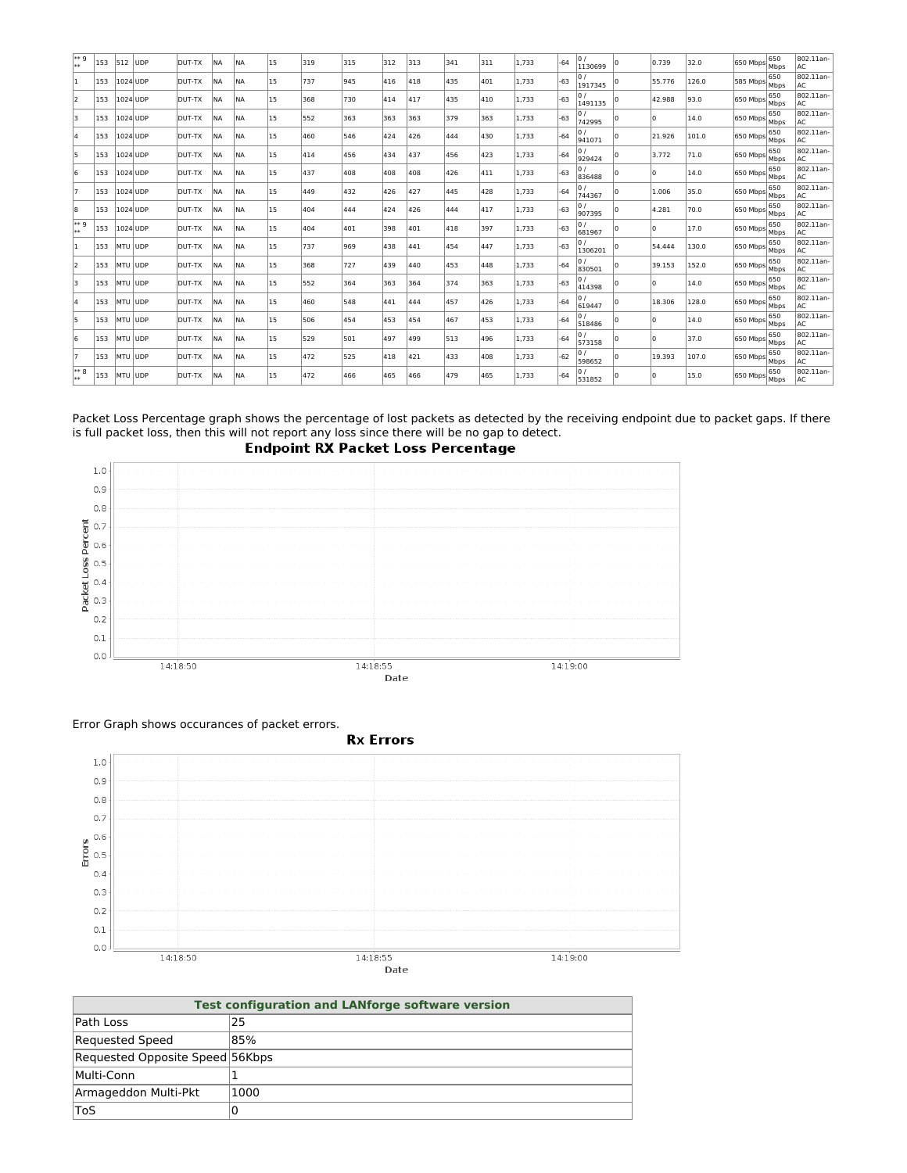| l∗∗ 9<br>**        | 153 | 512          | <b>UDP</b> | <b>DUT-TX</b> | <b>INA</b> | <b>NA</b>  | 15 | 319 | 315 | 312 | 313 | 341 | 311 | 1,733 | $-64$ | lo /<br>1130699    | 0.739  | 32.0  | $(650 \text{ Mbps}   \text{Mbps}$              | 650         | 802.11an-<br>lac |
|--------------------|-----|--------------|------------|---------------|------------|------------|----|-----|-----|-----|-----|-----|-----|-------|-------|--------------------|--------|-------|------------------------------------------------|-------------|------------------|
| 11                 | 153 | 1024 UDP     |            | DUT-TX        | <b>INA</b> | NA         | 15 | 737 | 945 | 416 | 418 | 435 | 401 | 1,733 | $-63$ | 1917345            | 55.776 | 126.0 | 585 Mbps                                       | 650<br>Mbps | 802.11an-<br>AC. |
| 12                 | 153 | 1024 UDP     |            | DUT-TX        | <b>INA</b> | <b>INA</b> | 15 | 368 | 730 | 414 | 417 | 435 | 410 | 1,733 | $-63$ | 0/<br>1491135      | 42.988 | 93.0  | 650 Mbps                                       | 650<br>Mbps | 802.11an-<br>AC. |
| Iз                 | 153 | 1024 UDP     |            | DUT-TX        | <b>NA</b>  | <b>INA</b> | 15 | 552 | 363 | 363 | 363 | 379 | 363 | 1.733 | $-63$ | 0/<br>742995       |        | 14.0  | 650 Mbps                                       | 650<br>Mbps | 802.11an-<br>AC. |
| I۵                 | 153 | 1024 UDP     |            | DUT-TX        | <b>INA</b> | <b>INA</b> | 15 | 460 | 546 | 424 | 426 | 444 | 430 | 1,733 | $-64$ | 0 /<br>941071      | 21.926 | 101.0 | 650 Mbps                                       | 650<br>Mbps | 802.11an-<br>lac |
| 15                 | 153 | 1024 UDP     |            | DUT-TX        | <b>INA</b> | NA         | 15 | 414 | 456 | 434 | 437 | 456 | 423 | 1,733 | $-64$ | 0 /<br>929424      | 3.772  | 71.0  | $(650 \text{ Mbps}$ $\overline{\text{Mbps}}$   | 650         | 802.11an-<br>AC. |
| 6                  | 153 | 1024 UDP     |            | DUT-TX        | <b>INA</b> | <b>NA</b>  | 15 | 437 | 408 | 408 | 408 | 426 | 411 | 1,733 | $-63$ | lo /<br>836488     |        | 14.0  | 650 Mbps                                       | 650<br>Mbps | 802.11an-<br>lac |
| 17                 | 153 | 1024 UDP     |            | DUT-TX        | <b>INA</b> | <b>INA</b> | 15 | 449 | 432 | 426 | 427 | 445 | 428 | 1,733 | $-64$ | 0/<br>744367       | 1.006  | 35.0  | 650 Mbps                                       | 650<br>Mbps | 802.11an-<br>lac |
| 8                  | 153 | 1024 UDP     |            | DUT-TX        | <b>INA</b> | NA         | 15 | 404 | 444 | 424 | 426 | 444 | 417 | 1,733 | $-63$ | 0/<br>907395       | 4.281  | 70.0  | $(650 \text{ Mbps}   \text{Mbps}$              | 650         | 802.11an-<br> AC |
| ** 9<br><b>Wok</b> | 153 | $ 1024 $ UDP |            | DUT-TX        | <b>INA</b> | <b>INA</b> | 15 | 404 | 401 | 398 | 401 | 418 | 397 | 1,733 | $-63$ | lo /<br>681967     |        | 17.0  | $(650 \text{ Mbps}   \text{Mbps}$              | 650         | 802.11an-<br>AC. |
| I1.                | 153 | MTU JUDP     |            | DUT-TX        | <b>INA</b> | <b>INA</b> | 15 | 737 | 969 | 438 | 441 | 454 | 447 | 1,733 | $-63$ | 0 /<br>1306201     | 54.444 | 130.0 | 650 Mbps                                       | 650<br>Mbps | 802.11an-<br>lac |
| 12                 | 153 | MTU JUDP     |            | DUT-TX        | <b>INA</b> | NA         | 15 | 368 | 727 | 439 | 440 | 453 | 448 | 1,733 | $-64$ | 0/<br>830501       | 39.153 | 152.0 | $(650 \text{ Mbps}   \text{Mbps}$              | 650         | 802.11an-<br>AC. |
| Iз                 | 153 | MTU JUDP     |            | DUT-TX        | <b>INA</b> | NA         | 15 | 552 | 364 | 363 | 364 | 374 | 363 | 1,733 | $-63$ | $\Omega$<br>414398 |        | 14.0  | $(650 \text{ Mbps}   \widetilde{\text{Mbps}})$ | 650         | 802.11an-<br>lac |
| l4                 | 153 | MTU JUDP     |            | DUT-TX        | <b>INA</b> | <b>NA</b>  | 15 | 460 | 548 | 441 | 444 | 457 | 426 | 1,733 | $-64$ | 619447             | 18.306 | 128.0 | 650 Mbps                                       | 650<br>Mbps | 802.11an-<br>lac |
| 15                 | 153 | MTU JUDP     |            | DUT-TX        | <b>INA</b> | <b>INA</b> | 15 | 506 | 454 | 453 | 454 | 467 | 453 | 1,733 | $-64$ | 0/<br>518486       |        | 14.0  | 650 Mbps                                       | 650<br>Mbps | 802.11an-<br>AC. |
| l6                 | 153 | MTU JUDP     |            | DUT-TX        | <b>NA</b>  | <b>INA</b> | 15 | 529 | 501 | 497 | 499 | 513 | 496 | 1,733 | $-64$ | 0/<br>573158       |        | 37.0  | 650 Mbps                                       | 650<br>Mbps | 802.11an-<br>AC. |
| 17                 | 153 | MTU JUDP     |            | DUT-TX        | <b>INA</b> | NA         | 15 | 472 | 525 | 418 | 421 | 433 | 408 | 1,733 | $-62$ | lo /<br>598652     | 19.393 | 107.0 | 650 Mbps                                       | 650<br>Mbps | 802.11an-<br>AC. |
| $**8$<br>**        | 153 | MTU JUDP     |            | DUT-TX        | NA         | <b>NA</b>  | 15 | 472 | 466 | 465 | 466 | 479 | 465 | 1,733 | $-64$ | lo /<br>531852     |        | 15.0  | $(650 \text{ Mbps}   \text{Mbps})$             | 650         | 802.11an-<br>lac |

Packet Loss Percentage graph shows the percentage of lost packets as detected by the receiving endpoint due to packet gaps. If there is full packet loss, then this will not report any loss since there will be no gap to detect.



Error Graph shows occurances of packet errors.



| <b>Test configuration and LANforge software version</b> |      |  |  |  |  |
|---------------------------------------------------------|------|--|--|--|--|
| Path Loss                                               | 25   |  |  |  |  |
| Requested Speed                                         | 85%  |  |  |  |  |
| Requested Opposite Speed 56Kbps                         |      |  |  |  |  |
| Multi-Conn                                              |      |  |  |  |  |
| Armageddon Multi-Pkt                                    | 1000 |  |  |  |  |
| <b>ToS</b>                                              |      |  |  |  |  |